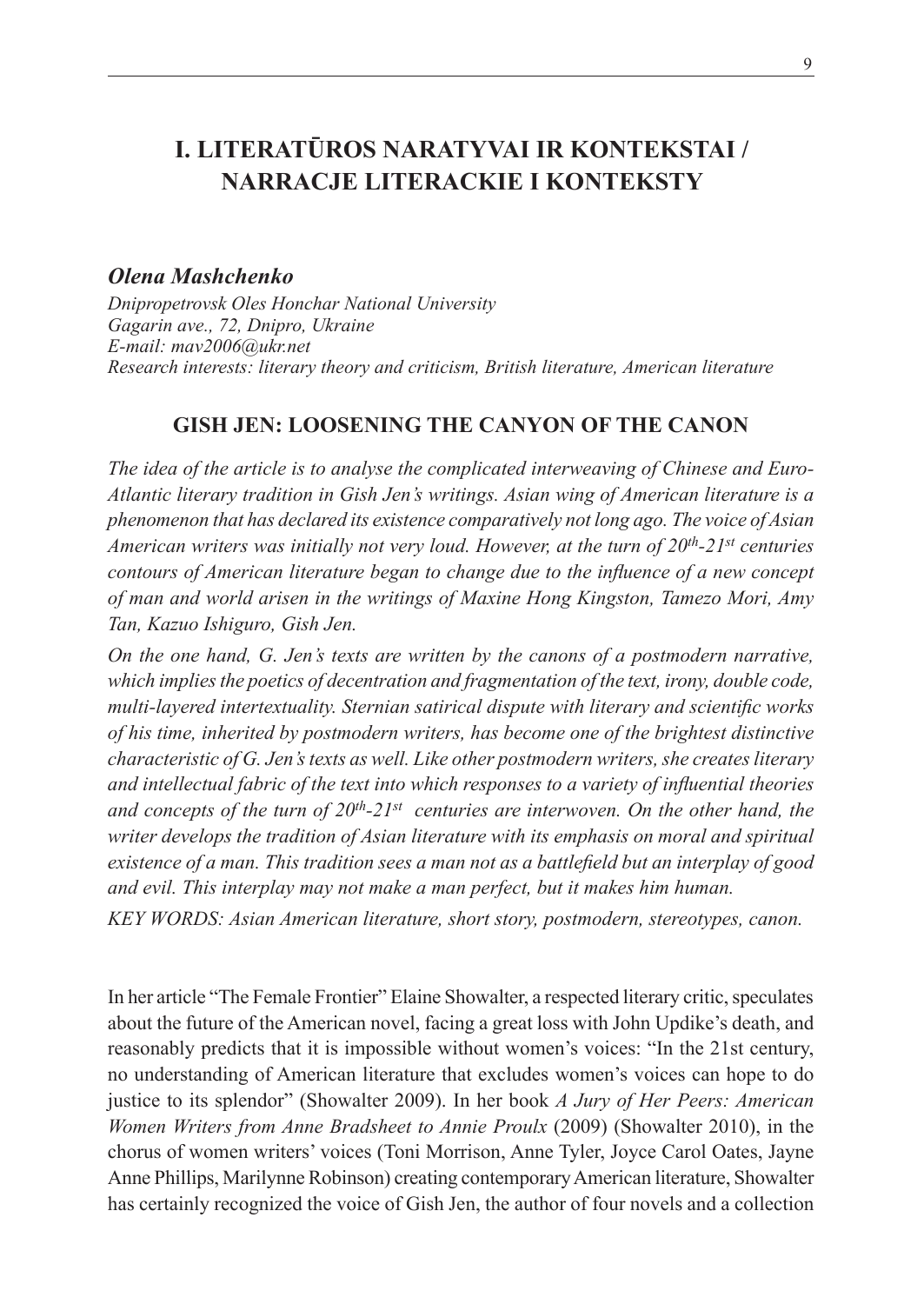# **I. LITERATŪROS NARATYVAI IR KONTEKSTAI / NARRACJE LITERACKIE I KONTEKSTY**

# *Olena Mashchenko*

*Dnipropetrovsk Oles Honchar National University Gagarin ave., 72, Dnipro, Ukraine E-mail: mav2006@ukr.net Research interests: literary theory and criticism, British literature, American literature*

## **GISH JEN: LOOSENING THE CANYON OF THE CANON**

*The idea of the article is to analyse the complicated interweaving of Chinese and Euro-Atlantic literary tradition in Gish Jen's writings. Asian wing of American literature is a phenomenon that has declared its existence comparatively not long ago. The voice of Asian American writers was initially not very loud. However, at the turn of 20th-21st centuries contours of American literature began to change due to the influence of a new concept of man and world arisen in the writings of Maxine Hong Kingston, Tamezo Mori, Amy Tan, Kazuo Ishiguro, Gish Jen.* 

*On the one hand, G. Jen's texts are written by the canons of a postmodern narrative, which implies the poetics of decentration and fragmentation of the text, irony, double code, multi-layered intertextuality. Sternian satirical dispute with literary and scientific works of his time, inherited by postmodern writers, has become one of the brightest distinctive characteristic of G. Jen's texts as well. Like other postmodern writers, she creates literary and intellectual fabric of the text into which responses to a variety of influential theories*  and concepts of the turn of  $20<sup>th</sup> - 21<sup>st</sup>$  centuries are interwoven. On the other hand, the *writer develops the tradition of Asian literature with its emphasis on moral and spiritual existence of a man. This tradition sees a man not as a battlefield but an interplay of good and evil. This interplay may not make a man perfect, but it makes him human.* 

*KEY WORDS: Asian American literature, short story, postmodern, stereotypes, canon.*

In her article "The Female Frontier" Elaine Showalter, a respected literary critic, speculates about the future of the American novel, facing a great loss with John Updike's death, and reasonably predicts that it is impossible without women's voices: "In the 21st century, no understanding of American literature that excludes women's voices can hope to do justice to its splendor" (Showalter 2009). In her book *A Jury of Her Peers: American Women Writers from Anne Bradsheet to Annie Proulx* (2009) (Showalter 2010), in the chorus of women writers' voices (Toni Morrison, Anne Tyler, Joyce Carol Oates, Jayne Anne Phillips, Marilynne Robinson) creating contemporary American literature, Showalter has certainly recognized the voice of Gish Jen, the author of four novels and a collection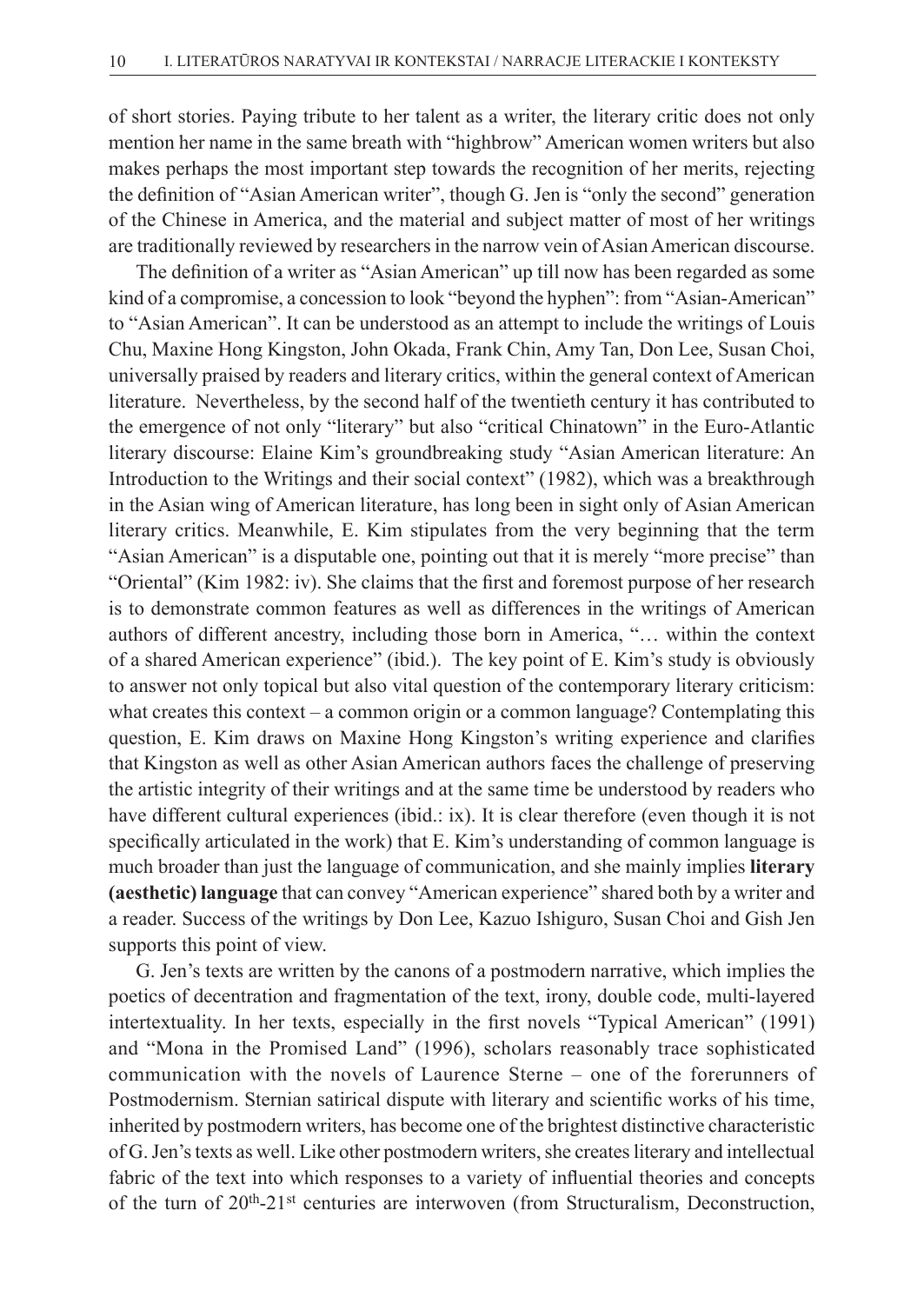of short stories. Paying tribute to her talent as a writer, the literary critic does not only mention her name in the same breath with "highbrow" American women writers but also makes perhaps the most important step towards the recognition of her merits, rejecting the definition of "Asian American writer", though G. Jen is "only the second" generation of the Chinese in America, and the material and subject matter of most of her writings are traditionally reviewed by researchers in the narrow vein of Asian American discourse.

The definition of a writer as "Asian American" up till now has been regarded as some kind of a compromise, a concession to look "beyond the hyphen": from "Asian-American" to "Asian American". It can be understood as an attempt to include the writings of Louis Chu, Maxine Hong Kingston, John Okada, Frank Chin, Amy Tan, Don Lee, Susan Choi, universally praised by readers and literary critics, within the general context of American literature. Nevertheless, by the second half of the twentieth century it has contributed to the emergence of not only "literary" but also "critical Chinatown" in the Euro-Atlantic literary discourse: Elaine Kim's groundbreaking study "Asian American literature: An Introduction to the Writings and their social context" (1982), which was a breakthrough in the Asian wing of American literature, has long been in sight only of Asian American literary critics. Meanwhile, E. Kim stipulates from the very beginning that the term "Asian American" is a disputable one, pointing out that it is merely "more precise" than "Oriental" (Kim 1982: iv). She claims that the first and foremost purpose of her research is to demonstrate common features as well as differences in the writings of American authors of different ancestry, including those born in America, "… within the context of a shared American experience" (ibid.). The key point of E. Kim's study is obviously to answer not only topical but also vital question of the contemporary literary criticism: what creates this context – a common origin or a common language? Contemplating this question, E. Kim draws on Maxine Hong Kingston's writing experience and clarifies that Kingston as well as other Asian American authors faces the challenge of preserving the artistic integrity of their writings and at the same time be understood by readers who have different cultural experiences (ibid.: ix). It is clear therefore (even though it is not specifically articulated in the work) that E. Kim's understanding of common language is much broader than just the language of communication, and she mainly implies **literary (aesthetic) language** that can convey "American experience" shared both by a writer and a reader. Success of the writings by Don Lee, Kazuo Ishiguro, Susan Choi and Gish Jen supports this point of view.

G. Jen's texts are written by the canons of a postmodern narrative, which implies the poetics of decentration and fragmentation of the text, irony, double code, multi-layered intertextuality. In her texts, especially in the first novels "Typical American" (1991) and "Mona in the Promised Land" (1996), scholars reasonably trace sophisticated communication with the novels of Laurence Sterne – оne of the forerunners of Postmodernism. Sternian satirical dispute with literary and scientific works of his time, inherited by postmodern writers, has become one of the brightest distinctive characteristic of G. Jen's texts as well. Like other postmodern writers, she creates literary and intellectual fabric of the text into which responses to a variety of influential theories and concepts of the turn of  $20^{th} - 21^{st}$  centuries are interwoven (from Structuralism, Deconstruction,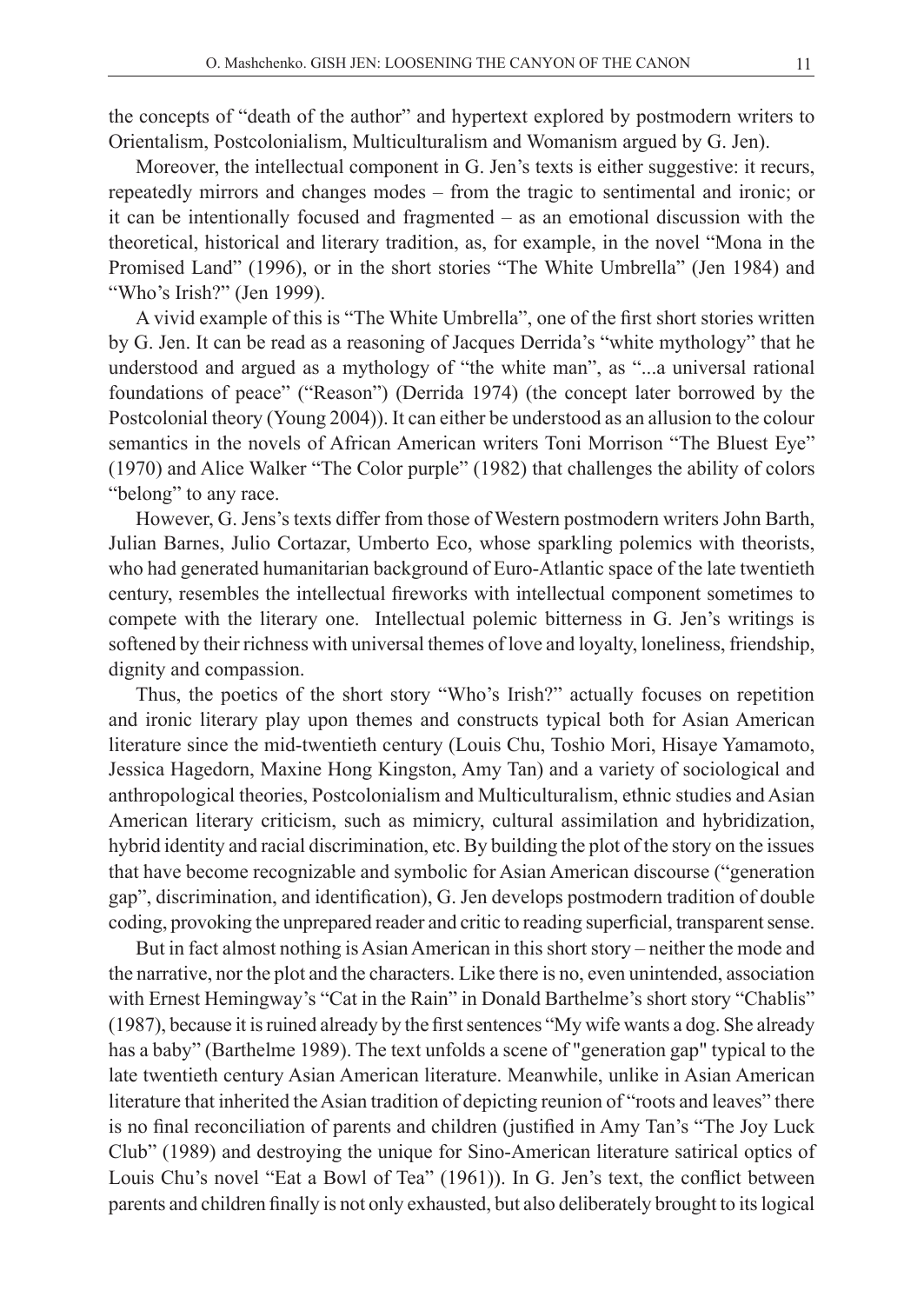the concepts of "death of the author" and hypertext explored by postmodern writers to Orientalism, Postcolonialism, Multiculturalism and Womanism argued by G. Jen).

Moreover, the intellectual component in G. Jen's texts is either suggestive: it recurs, repeatedly mirrors and changes modes – from the tragic to sentimental and ironic; or it can be intentionally focused and fragmented – as an emotional discussion with the theoretical, historical and literary tradition, as, for example, in the novel "Mona in the Promised Land" (1996), or in the short stories "The White Umbrella" (Jen 1984) and "Who's Irish?" (Jen 1999).

A vivid example of this is "The White Umbrella", one of the first short stories written by G. Jen. It can be read as a reasoning of Jacques Derrida's "white mythology" that he understood and argued as a mythology of "the white man", as "...a universal rational foundations of peace" ("Reason") (Derrida 1974) (the concept later borrowed by the Postcolonial theory (Young 2004)). It can either be understood as an allusion to the colour semantics in the novels of African American writers Toni Morrison "The Bluest Eye" (1970) and Alice Walker "The Color purple" (1982) that challenges the ability of colors "belong" to any race.

However, G. Jens's texts differ from those of Western postmodern writers John Barth, Julian Barnes, Julio Cortazar, Umberto Eco, whose sparkling polemics with theorists, who had generated humanitarian background of Euro-Atlantic space of the late twentieth century, resembles the intellectual fireworks with intellectual component sometimes to compete with the literary one. Intellectual polemic bitterness in G. Jen's writings is softened by their richness with universal themes of love and loyalty, loneliness, friendship, dignity and compassion.

Thus, the poetics of the short story "Who's Irish?" actually focuses on repetition and ironic literary play upon themes and constructs typical both for Asian American literature since the mid-twentieth century (Louis Chu, Toshio Mori, Hisaye Yamamoto, Jessica Hagedorn, Maxine Hong Kingston, Amy Tan) and a variety of sociological and anthropological theories, Postcolonialism and Multiculturalism, ethnic studies and Asian American literary criticism, such as mimicry, cultural assimilation and hybridization, hybrid identity and racial discrimination, etc. By building the plot of the story on the issues that have become recognizable and symbolic for Asian American discourse ("generation gap", discrimination, and identification), G. Jen develops postmodern tradition of double coding, provoking the unprepared reader and critic to reading superficial, transparent sense.

But in fact almost nothing is Asian American in this short story – neither the mode and the narrative, nor the plot and the characters. Like there is no, even unintended, association with Ernest Hemingway's "Cat in the Rain" in Donald Barthelme's short story "Chablis" (1987), because it is ruined already by the first sentences "My wife wants a dog. She already has a baby" (Barthelme 1989). The text unfolds a scene of "generation gap" typical to the late twentieth century Asian American literature. Meanwhile, unlike in Asian American literature that inherited the Asian tradition of depicting reunion of "roots and leaves" there is no final reconciliation of parents and children (justified in Amy Tan's "The Joy Luck Club" (1989) and destroying the unique for Sino-American literature satirical optics of Louis Chu's novel "Eat a Bowl of Tea" (1961)). In G. Jen's text, the conflict between parents and children finally is not only exhausted, but also deliberately brought to its logical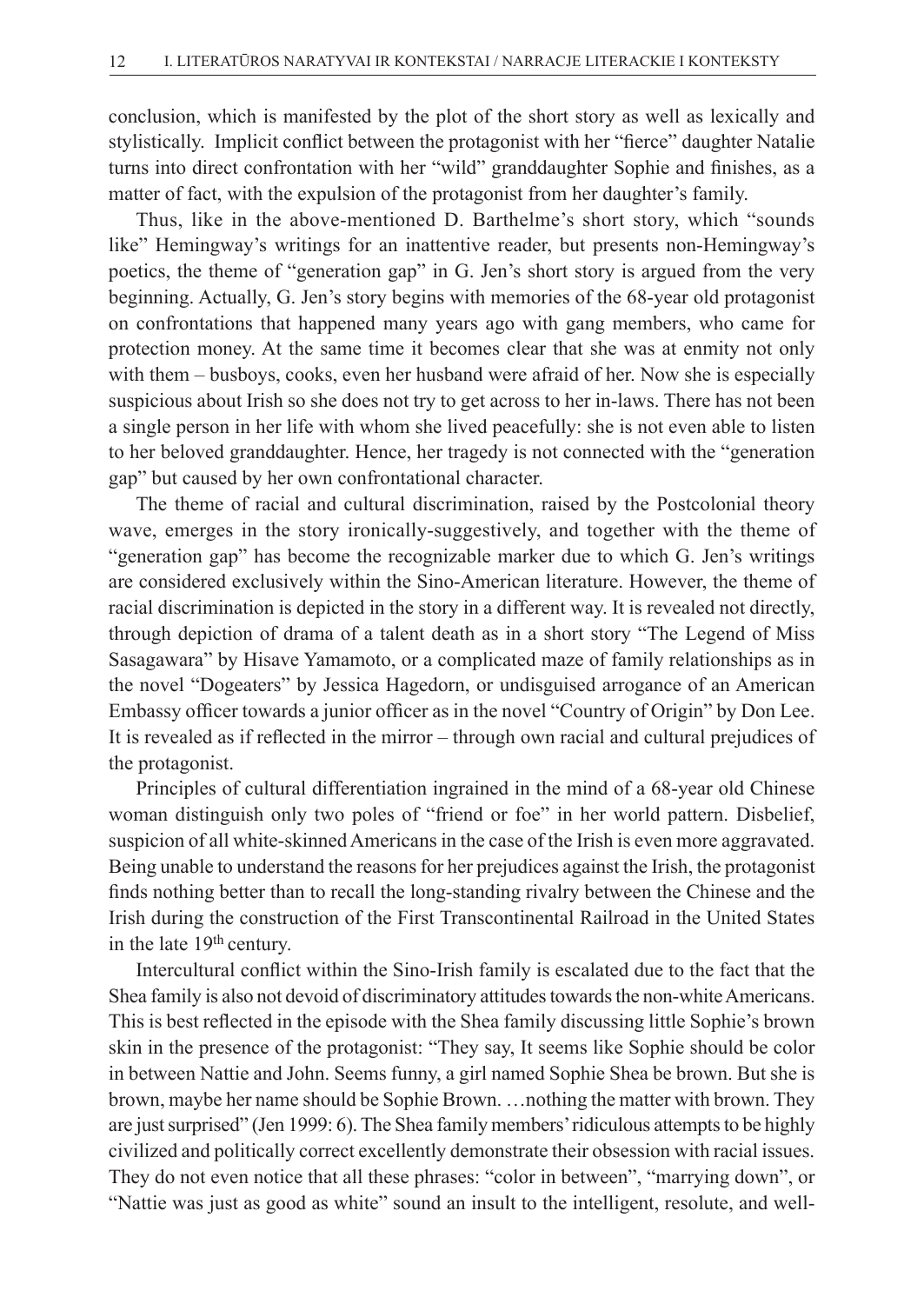conclusion, which is manifested by the plot of the short story as well as lexically and stylistically. Implicit conflict between the protagonist with her "fierce" daughter Natalie turns into direct confrontation with her "wild" granddaughter Sophie and finishes, as a matter of fact, with the expulsion of the protagonist from her daughter's family.

Thus, like in the above-mentioned D. Barthelme's short story, which "sounds like" Hemingway's writings for an inattentive reader, but presents non-Hemingway's poetics, the theme of "generation gap" in G. Jen's short story is argued from the very beginning. Actually, G. Jen's story begins with memories of the 68-year old protagonist on confrontations that happened many years ago with gang members, who came for protection money. At the same time it becomes clear that she was at enmity not only with them – busboys, cooks, even her husband were afraid of her. Now she is especially suspicious about Irish so she does not try to get across to her in-laws. There has not been a single person in her life with whom she lived peacefully: she is not even able to listen to her beloved granddaughter. Hence, her tragedy is not connected with the "generation gap" but caused by her own confrontational character.

The theme of racial and cultural discrimination, raised by the Postcolonial theory wave, emerges in the story ironically-suggestively, and together with the theme of "generation gap" has become the recognizable marker due to which G. Jen's writings are considered exclusively within the Sino-American literature. However, the theme of racial discrimination is depicted in the story in a different way. It is revealed not directly, through depiction of drama of a talent death as in a short story "The Legend of Miss Sasagawara" by Hisave Yamamoto, or а complicated maze of family relationships as in the novel "Dogeaters" by Jessica Hagedorn, or undisguised arrogance of an American Embassy officer towards a junior officer as in the novel "Country of Origin" by Don Lee. It is revealed as if reflected in the mirror – through own racial and cultural prejudices of the protagonist.

Principles of cultural differentiation ingrained in the mind of a 68-year old Chinese woman distinguish only two poles of "friend or foe" in her world pattern. Disbelief, suspicion of all white-skinned Americans in the case of the Irish is even more aggravated. Being unable to understand the reasons for her prejudices against the Irish, the protagonist finds nothing better than to recall the long-standing rivalry between the Chinese and the Irish during the construction of the First Transcontinental Railroad in the United States in the late 19th century.

Intercultural conflict within the Sino-Irish family is escalated due to the fact that the Shea family is also not devoid of discriminatory attitudes towards the non-white Americans. This is best reflected in the episode with the Shea family discussing little Sophie's brown skin in the presence of the protagonist: "They say, It seems like Sophie should be color in between Nattie and John. Seems funny, a girl named Sophie Shea be brown. But she is brown, maybe her name should be Sophie Brown. …nothing the matter with brown. They are just surprised" (Jen 1999: 6).The Shea family members' ridiculous attempts to be highly civilized and politically correct excellently demonstrate their obsession with racial issues. They do not even notice that all these phrases: "color in between", "marrying down", or "Nattie was just as good as white" sound an insult to the intelligent, resolute, and well-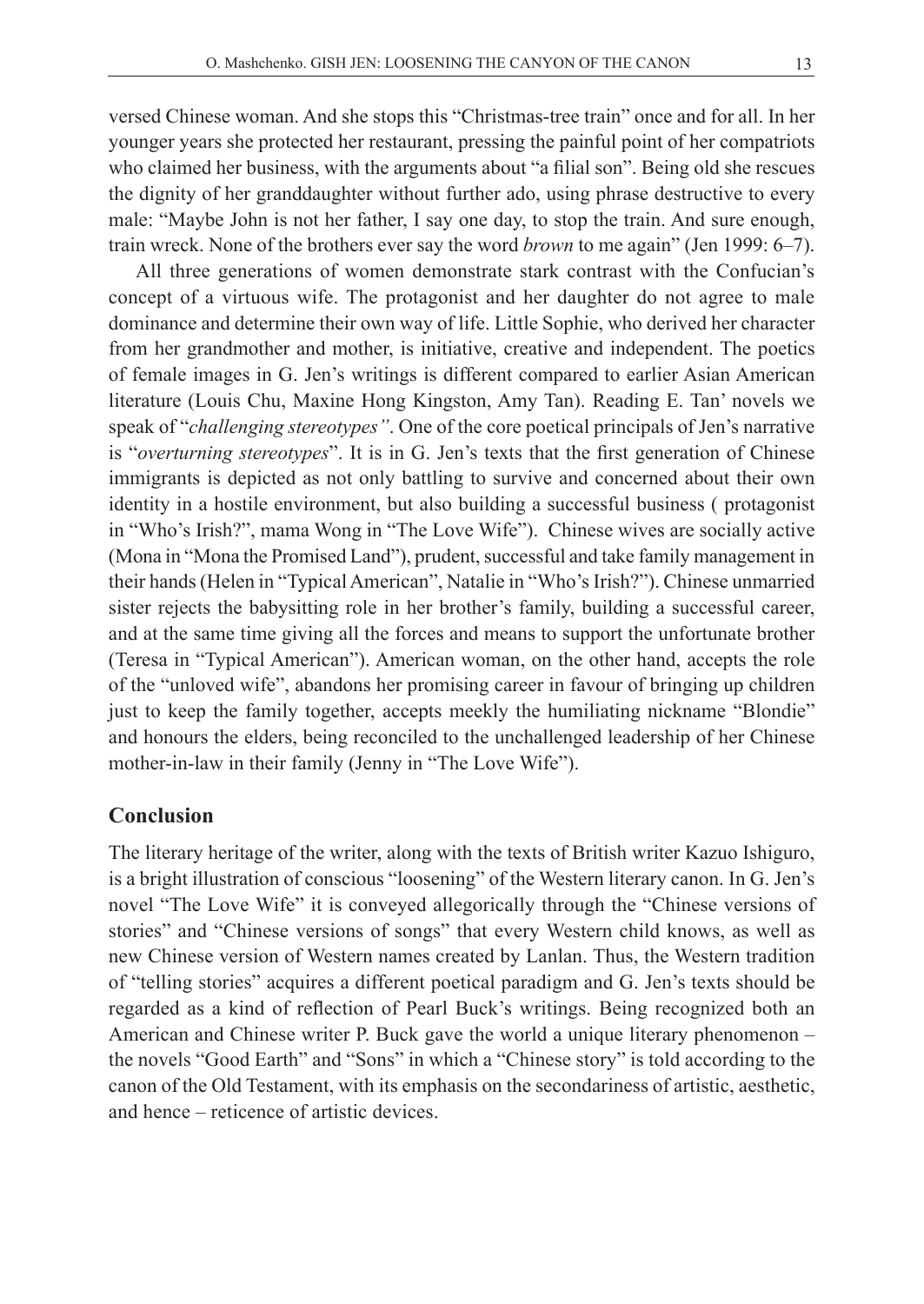versed Chinese woman. And she stops this "Christmas-tree train" once and for all. In her younger years she protected her restaurant, pressing the painful point of her compatriots who claimed her business, with the arguments about "a filial son". Being old she rescues the dignity of her granddaughter without further ado, using phrase destructive to every male: "Maybe John is not her father, I say one day, to stop the train. And sure enough, train wreck. None of the brothers ever say the word *brown* to me again" (Jen 1999: 6–7).

All three generations of women demonstrate stark contrast with the Confucian's concept of a virtuous wife. The protagonist and her daughter do not agree to male dominance and determine their own way of life. Little Sophie, who derived her character from her grandmother and mother, is initiative, creative and independent. The poetics of female images in G. Jen's writings is different compared to earlier Asian American literature (Louis Chu, Maxine Hong Kingston, Amy Tan). Reading E. Tan' novels we speak of "*challenging stereotypes"*. One of the core poetical principals of Jen's narrative is "*overturning stereotypes*". It is in G. Jen's texts that the first generation of Chinese immigrants is depicted as not only battling to survive and concerned about their own identity in a hostile environment, but also building a successful business ( protagonist in "Who's Irish?", mama Wong in "The Love Wife"). Chinese wives are socially active (Mona in "Mona the Promised Land"), prudent, successful and take family management in their hands (Helen in "Typical American", Natalie in "Who's Irish?"). Chinese unmarried sister rejects the babysitting role in her brother's family, building a successful career, and at the same time giving all the forces and means to support the unfortunate brother (Teresa in "Typical American"). American woman, on the other hand, accepts the role of the "unloved wife", abandons her promising career in favour of bringing up children just to keep the family together, accepts meekly the humiliating nickname "Blondie" and honours the elders, being reconciled to the unchallenged leadership of her Chinese mother-in-law in their family (Jenny in "The Love Wife").

# **Conclusion**

The literary heritage of the writer, along with the texts of British writer Kazuo Ishiguro, is a bright illustration of conscious "loosening" of the Western literary canon. In G. Jen's novel "The Love Wife" it is conveyed allegorically through the "Chinese versions of stories" and "Chinese versions of songs" that every Western child knows, as well as new Chinese version of Western names created by Lanlan. Thus, the Western tradition of "telling stories" acquires a different poetical paradigm and G. Jen's texts should be regarded as a kind of reflection of Pearl Buck's writings. Being recognized both an American and Chinese writer P. Buck gave the world a unique literary phenomenon – the novels "Good Earth" and "Sons" in which a "Chinese story" is told according to the canon of the Old Testament, with its emphasis on the secondariness of artistic, aesthetic, and hence – reticence of artistic devices.